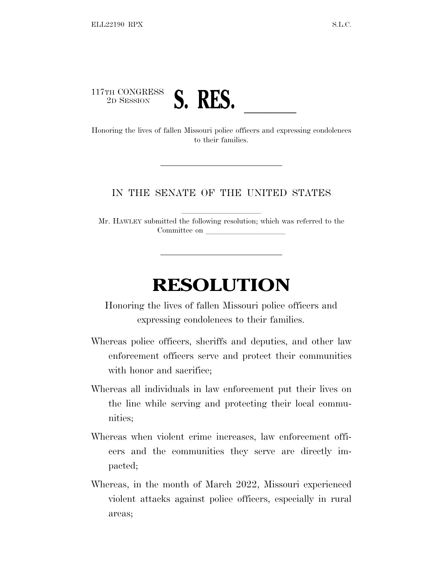117TH CONGRESS



<sup>117TH</sup> CONGKESS **S. RES.**<br>Honoring the lives of fallen Missouri police officers and expressing condolences to their families.

## IN THE SENATE OF THE UNITED STATES

Mr. HAWLEY submitted the following resolution; which was referred to the Committee on

## **RESOLUTION**

Honoring the lives of fallen Missouri police officers and expressing condolences to their families.

- Whereas police officers, sheriffs and deputies, and other law enforcement officers serve and protect their communities with honor and sacrifice;
- Whereas all individuals in law enforcement put their lives on the line while serving and protecting their local communities;
- Whereas when violent crime increases, law enforcement officers and the communities they serve are directly impacted;
- Whereas, in the month of March 2022, Missouri experienced violent attacks against police officers, especially in rural areas;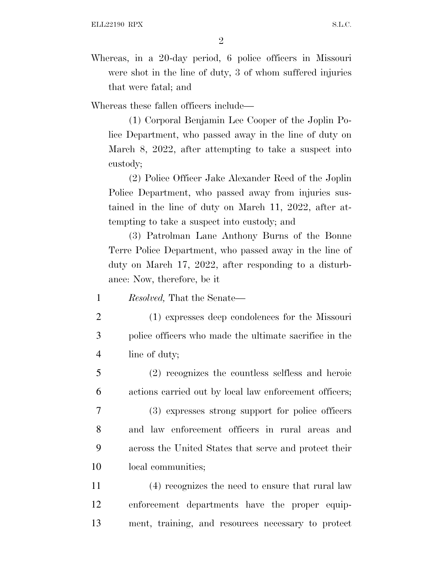Whereas, in a 20-day period, 6 police officers in Missouri were shot in the line of duty, 3 of whom suffered injuries that were fatal; and

Whereas these fallen officers include—

(1) Corporal Benjamin Lee Cooper of the Joplin Police Department, who passed away in the line of duty on March 8, 2022, after attempting to take a suspect into custody;

(2) Police Officer Jake Alexander Reed of the Joplin Police Department, who passed away from injuries sustained in the line of duty on March 11, 2022, after attempting to take a suspect into custody; and

(3) Patrolman Lane Anthony Burns of the Bonne Terre Police Department, who passed away in the line of duty on March 17, 2022, after responding to a disturbance: Now, therefore, be it

1 *Resolved,* That the Senate—

- 2 (1) expresses deep condolences for the Missouri 3 police officers who made the ultimate sacrifice in the 4 line of duty;
- 5 (2) recognizes the countless selfless and heroic 6 actions carried out by local law enforcement officers;
- 7 (3) expresses strong support for police officers 8 and law enforcement officers in rural areas and 9 across the United States that serve and protect their 10 local communities;
- 11 (4) recognizes the need to ensure that rural law 12 enforcement departments have the proper equip-13 ment, training, and resources necessary to protect